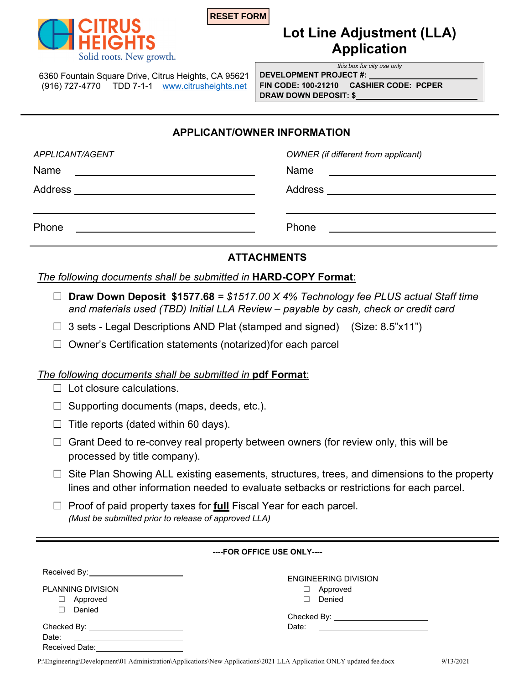



# **Lot Line Adjustment (LLA) Application**

*this box for city use only* 

6360 Fountain Square Drive, Citrus Heights, CA 95621 (916) 727-4770 TDD 7-1-1 www.citrusheights.net **FIN CODE: 100-21210 CASHIER CODE: PCPER** 

**DEVELOPMENT PROJECT #: DRAW DOWN DEPOSIT: \$** 

### **APPLICANT/OWNER INFORMATION**

| APPLICANT/AGENT                                                   | <b>OWNER</b> (if different from applicant)                                                                                     |
|-------------------------------------------------------------------|--------------------------------------------------------------------------------------------------------------------------------|
| Name<br><u> 1989 - Johann Barnett, fransk politiker (d. 1989)</u> | Name<br><u> 1980 - Andrea Barbara, poeta esperanto-poeta esperanto-poeta esperanto-poeta esperanto-poeta esperanto-poeta</u>   |
| Address __________________________________                        | Address ____________________________                                                                                           |
| Phone<br><u> 1989 - Andrea Andrew Maria (h. 1989).</u>            | Phone<br><u> 1989 - Johann Harry Barn, mars and de Branch and de Branch and de Branch and de Branch and de Branch and de B</u> |
|                                                                   |                                                                                                                                |

## **ATTACHMENTS**

*The following documents shall be submitted in* **HARD-COPY Format**:

- **Draw Down Deposit \$1577.68** *= \$1517.00 X 4% Technology fee PLUS actual Staff time and materials used (TBD) Initial LLA Review – payable by cash, check or credit card*
- $\Box$  3 sets Legal Descriptions AND Plat (stamped and signed) (Size: 8.5"x11")
- $\Box$  Owner's Certification statements (notarized) for each parcel

# *The following documents shall be submitted in* **pdf Format**:

- $\Box$  Lot closure calculations.
- $\Box$  Supporting documents (maps, deeds, etc.).
- $\Box$  Title reports (dated within 60 days).
- $\Box$  Grant Deed to re-convey real property between owners (for review only, this will be processed by title company).
- $\Box$  Site Plan Showing ALL existing easements, structures, trees, and dimensions to the property lines and other information needed to evaluate setbacks or restrictions for each parcel.
- $\Box$  Proof of paid property taxes for **full** Fiscal Year for each parcel. *(Must be submitted prior to release of approved LLA)*

| ----FOR OFFICE USE ONLY----               |                                    |  |
|-------------------------------------------|------------------------------------|--|
| Received By: ____________________________ | <b>ENGINEERING DIVISION</b>        |  |
| <b>PLANNING DIVISION</b>                  | Approved<br>O.                     |  |
| Approved                                  | Denied<br>П                        |  |
| Denied                                    | Checked By: ______________________ |  |
| Checked By: _________________________     | Date:                              |  |
| Date:                                     |                                    |  |
| Received Date:                            |                                    |  |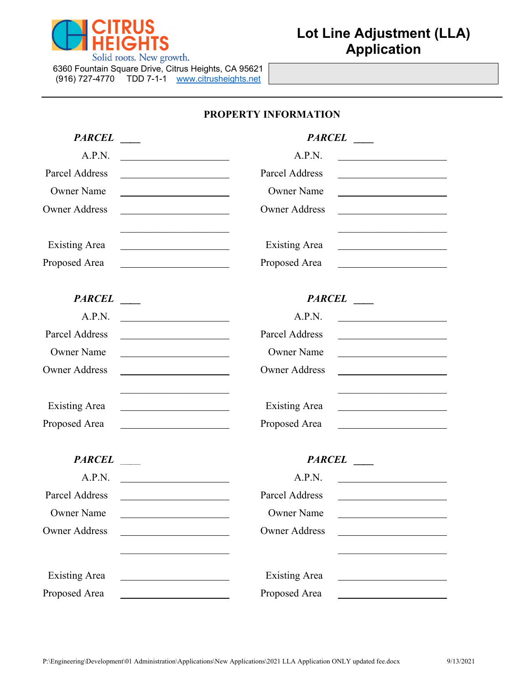

| 6360 Fountain Square Drive, Citrus Heights, CA 95621 |           |                       |  |  |
|------------------------------------------------------|-----------|-----------------------|--|--|
| (916) 727-4770                                       | TDD 7-1-1 | www.citrusheights.net |  |  |

# **PROPERTY INFORMATION**

| <b>PARCEL</b>                                               | <b>PARCEL</b>                                                                                                                                                                                                                                          |
|-------------------------------------------------------------|--------------------------------------------------------------------------------------------------------------------------------------------------------------------------------------------------------------------------------------------------------|
| A.P.N.                                                      | A.P.N.<br><u> 1989 - Johann Barbara, martin a</u>                                                                                                                                                                                                      |
| Parcel Address                                              | Parcel Address<br><u>and the control of the control of the control of the control of the control of the control of the control of the control of the control of the control of the control of the control of the control of the control of the con</u> |
| <b>Owner Name</b>                                           | <b>Owner Name</b><br><u> 1980 - Jan Barbara Barbara, manazarta </u>                                                                                                                                                                                    |
| <b>Owner Address</b>                                        | <b>Owner Address</b>                                                                                                                                                                                                                                   |
| <b>Existing Area</b>                                        | <b>Existing Area</b>                                                                                                                                                                                                                                   |
| Proposed Area                                               | Proposed Area<br><u> 1986 - Jan Stein Harry Harry Harry Harry Harry Harry Harry Harry Harry Harry Harry Harry Harry Harry Harry</u>                                                                                                                    |
| <b>PARCEL</b>                                               | <b>PARCEL</b>                                                                                                                                                                                                                                          |
| A.P.N.<br><u> 1989 - Jan Samuel Barbara, político e a f</u> | A.P.N.                                                                                                                                                                                                                                                 |
| Parcel Address                                              | Parcel Address                                                                                                                                                                                                                                         |
| <b>Owner Name</b>                                           | <b>Owner Name</b>                                                                                                                                                                                                                                      |
| <b>Owner Address</b>                                        | <b>Owner Address</b>                                                                                                                                                                                                                                   |
| <b>Existing Area</b>                                        | <b>Existing Area</b>                                                                                                                                                                                                                                   |
| Proposed Area                                               | Proposed Area                                                                                                                                                                                                                                          |
| <b>PARCEL</b>                                               | <b>PARCEL</b>                                                                                                                                                                                                                                          |
| A.P.N.                                                      | A.P.N.                                                                                                                                                                                                                                                 |
| Parcel Address                                              | Parcel Address                                                                                                                                                                                                                                         |
| <b>Owner Name</b>                                           | <b>Owner Name</b>                                                                                                                                                                                                                                      |
| <b>Owner Address</b>                                        | <b>Owner Address</b>                                                                                                                                                                                                                                   |
|                                                             |                                                                                                                                                                                                                                                        |
| <b>Existing Area</b>                                        | <b>Existing Area</b>                                                                                                                                                                                                                                   |
| Proposed Area                                               | Proposed Area                                                                                                                                                                                                                                          |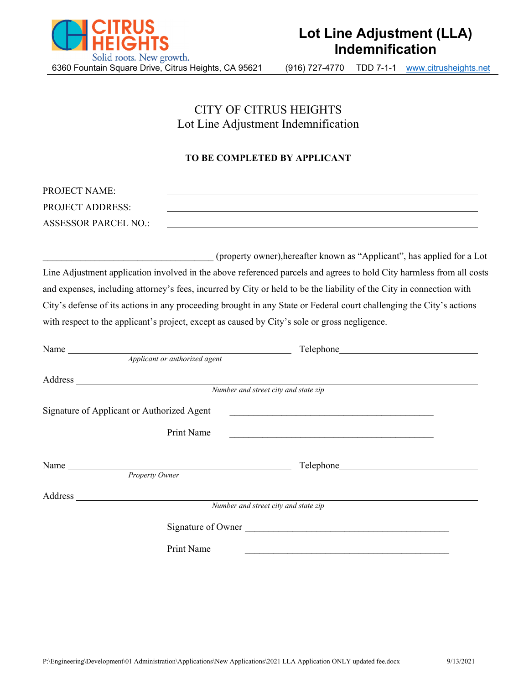

# CITY OF CITRUS HEIGHTS Lot Line Adjustment Indemnification

#### **TO BE COMPLETED BY APPLICANT**

| <b>PROJECT NAME:</b>        |  |
|-----------------------------|--|
| <b>PROJECT ADDRESS:</b>     |  |
| <b>ASSESSOR PARCEL NO.:</b> |  |

\_\_\_\_\_\_\_\_\_\_\_\_\_\_\_\_\_\_\_\_\_\_\_\_\_\_\_\_\_\_\_\_\_\_\_\_ (property owner),hereafter known as "Applicant", has applied for a Lot Line Adjustment application involved in the above referenced parcels and agrees to hold City harmless from all costs and expenses, including attorney's fees, incurred by City or held to be the liability of the City in connection with City's defense of its actions in any proceeding brought in any State or Federal court challenging the City's actions with respect to the applicant's project, except as caused by City's sole or gross negligence.

| Name                                                                                                            | Telephone <b>Example 2018</b>        |
|-----------------------------------------------------------------------------------------------------------------|--------------------------------------|
| Applicant or authorized agent                                                                                   |                                      |
|                                                                                                                 |                                      |
| Address Number and street city and state zip                                                                    |                                      |
| Signature of Applicant or Authorized Agent                                                                      |                                      |
| Print Name                                                                                                      |                                      |
|                                                                                                                 |                                      |
|                                                                                                                 |                                      |
| Property Owner                                                                                                  |                                      |
| Address Manual Manual Manual Manual Manual Manual Manual Manual Manual Manual Manual Manual Manual Manual Manua |                                      |
|                                                                                                                 | Number and street city and state zip |
|                                                                                                                 | Signature of Owner                   |
| Print Name                                                                                                      |                                      |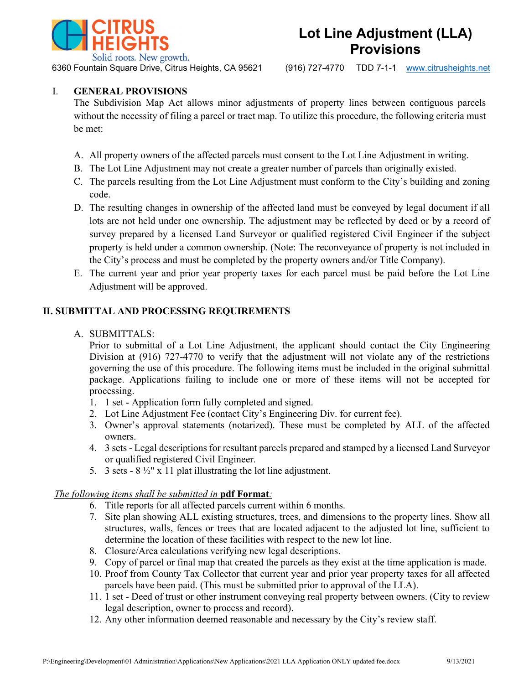

**Lot Line Adjustment (LLA) Provisions**

6360 Fountain Square Drive, Citrus Heights, CA 95621 (916) 727-4770 TDD 7-1-1 www.citrusheights.net

#### I. **GENERAL PROVISIONS**

The Subdivision Map Act allows minor adjustments of property lines between contiguous parcels without the necessity of filing a parcel or tract map. To utilize this procedure, the following criteria must be met:

- A. All property owners of the affected parcels must consent to the Lot Line Adjustment in writing.
- B. The Lot Line Adjustment may not create a greater number of parcels than originally existed.
- C. The parcels resulting from the Lot Line Adjustment must conform to the City's building and zoning code.
- D. The resulting changes in ownership of the affected land must be conveyed by legal document if all lots are not held under one ownership. The adjustment may be reflected by deed or by a record of survey prepared by a licensed Land Surveyor or qualified registered Civil Engineer if the subject property is held under a common ownership. (Note: The reconveyance of property is not included in the City's process and must be completed by the property owners and/or Title Company).
- E. The current year and prior year property taxes for each parcel must be paid before the Lot Line Adjustment will be approved.

#### **II. SUBMITTAL AND PROCESSING REQUIREMENTS**

#### A. SUBMITTALS:

Prior to submittal of a Lot Line Adjustment, the applicant should contact the City Engineering Division at (916) 727-4770 to verify that the adjustment will not violate any of the restrictions governing the use of this procedure. The following items must be included in the original submittal package. Applications failing to include one or more of these items will not be accepted for processing.

- 1. 1 set Application form fully completed and signed.
- 2. Lot Line Adjustment Fee (contact City's Engineering Div. for current fee).
- 3. Owner's approval statements (notarized). These must be completed by ALL of the affected owners.
- 4. 3 sets Legal descriptions for resultant parcels prepared and stamped by a licensed Land Surveyor or qualified registered Civil Engineer.
- 5. 3 sets  $8\frac{1}{2}$ " x 11 plat illustrating the lot line adjustment.

#### *The following items shall be submitted in* **pdf Format***:*

- 6. Title reports for all affected parcels current within 6 months.
- 7. Site plan showing ALL existing structures, trees, and dimensions to the property lines. Show all structures, walls, fences or trees that are located adjacent to the adjusted lot line, sufficient to determine the location of these facilities with respect to the new lot line.
- 8. Closure/Area calculations verifying new legal descriptions.
- 9. Copy of parcel or final map that created the parcels as they exist at the time application is made.
- 10. Proof from County Tax Collector that current year and prior year property taxes for all affected parcels have been paid. (This must be submitted prior to approval of the LLA).
- 11. 1 set Deed of trust or other instrument conveying real property between owners. (City to review legal description, owner to process and record).
- 12. Any other information deemed reasonable and necessary by the City's review staff.